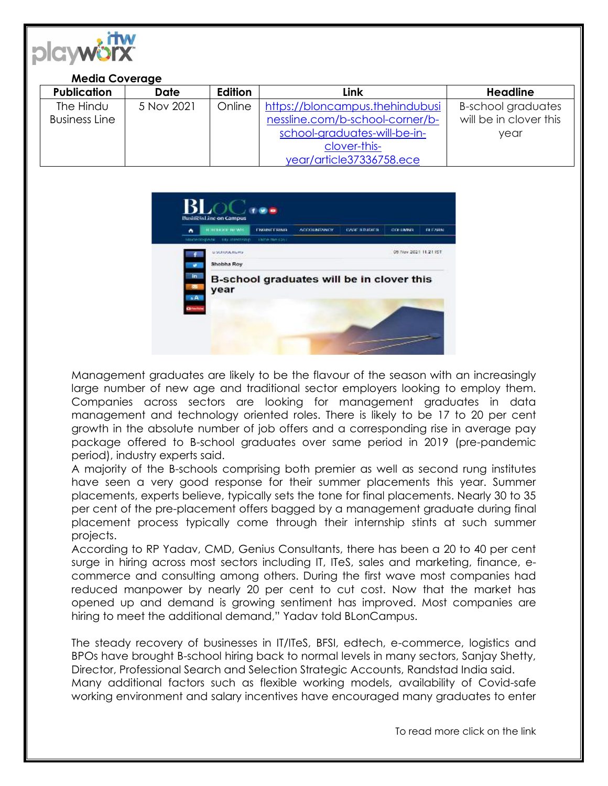

## **Media Coverage**

| <b>Publication</b>   | Date       | Edition | Link                            | <b>Headline</b>           |
|----------------------|------------|---------|---------------------------------|---------------------------|
| The Hindu            | 5 Nov 2021 | Online  | https://bloncampus.thehindubusi | <b>B-school graduates</b> |
| <b>Business Line</b> |            |         | nessline.com/b-school-corner/b- | will be in clover this    |
|                      |            |         | school-graduates-will-be-in-    | year                      |
|                      |            |         | clover-this-                    |                           |
|                      |            |         | year/article37336758.ece        |                           |



Management graduates are likely to be the flavour of the season with an increasingly large number of new age and traditional sector employers looking to employ them. Companies across sectors are looking for management graduates in data management and technology oriented roles. There is likely to be 17 to 20 per cent growth in the absolute number of job offers and a corresponding rise in average pay package offered to B-school graduates over same period in 2019 (pre-pandemic period), industry experts said.

A majority of the B-schools comprising both premier as well as second rung institutes have seen a very good response for their summer placements this year. Summer placements, experts believe, typically sets the tone for final placements. Nearly 30 to 35 per cent of the pre-placement offers bagged by a management graduate during final placement process typically come through their internship stints at such summer projects.

According to RP Yadav, CMD, Genius Consultants, there has been a 20 to 40 per cent surge in hiring across most sectors including IT, ITeS, sales and marketing, finance, ecommerce and consulting among others. During the first wave most companies had reduced manpower by nearly 20 per cent to cut cost. Now that the market has opened up and demand is growing sentiment has improved. Most companies are hiring to meet the additional demand," Yadav told BLonCampus.

The steady recovery of businesses in IT/ITeS, BFSI, edtech, e-commerce, logistics and BPOs have brought B-school hiring back to normal levels in many sectors, Sanjay Shetty, Director, Professional Search and Selection Strategic Accounts, Randstad India said. Many additional factors such as flexible working models, availability of Covid-safe working environment and salary incentives have encouraged many graduates to enter

To read more click on the link